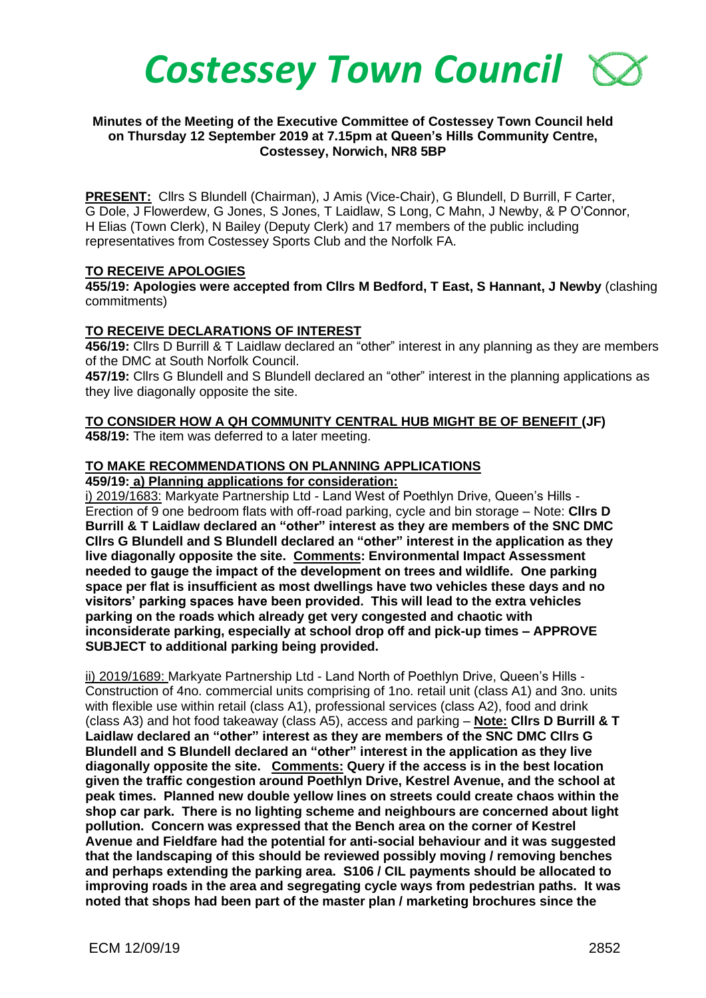

### **Minutes of the Meeting of the Executive Committee of Costessey Town Council held on Thursday 12 September 2019 at 7.15pm at Queen's Hills Community Centre, Costessey, Norwich, NR8 5BP**

**PRESENT:** Cllrs S Blundell (Chairman), J Amis (Vice-Chair), G Blundell, D Burrill, F Carter, G Dole, J Flowerdew, G Jones, S Jones, T Laidlaw, S Long, C Mahn, J Newby, & P O'Connor, H Elias (Town Clerk), N Bailey (Deputy Clerk) and 17 members of the public including representatives from Costessey Sports Club and the Norfolk FA.

### **TO RECEIVE APOLOGIES**

**455/19: Apologies were accepted from Cllrs M Bedford, T East, S Hannant, J Newby** (clashing commitments)

#### **TO RECEIVE DECLARATIONS OF INTEREST**

**456/19:** Cllrs D Burrill & T Laidlaw declared an "other" interest in any planning as they are members of the DMC at South Norfolk Council.

**457/19:** Cllrs G Blundell and S Blundell declared an "other" interest in the planning applications as they live diagonally opposite the site.

# **TO CONSIDER HOW A QH COMMUNITY CENTRAL HUB MIGHT BE OF BENEFIT (JF)**

**458/19:** The item was deferred to a later meeting.

### **TO MAKE RECOMMENDATIONS ON PLANNING APPLICATIONS**

**459/19: a) Planning applications for consideration:**

i) 2019/1683: Markyate Partnership Ltd - Land West of Poethlyn Drive, Queen's Hills -Erection of 9 one bedroom flats with off-road parking, cycle and bin storage – Note: **Cllrs D Burrill & T Laidlaw declared an "other" interest as they are members of the SNC DMC Cllrs G Blundell and S Blundell declared an "other" interest in the application as they live diagonally opposite the site. Comments: Environmental Impact Assessment needed to gauge the impact of the development on trees and wildlife. One parking space per flat is insufficient as most dwellings have two vehicles these days and no visitors' parking spaces have been provided. This will lead to the extra vehicles parking on the roads which already get very congested and chaotic with inconsiderate parking, especially at school drop off and pick-up times – APPROVE SUBJECT to additional parking being provided.** 

ii) 2019/1689: Markyate Partnership Ltd - Land North of Poethlyn Drive, Queen's Hills -Construction of 4no. commercial units comprising of 1no. retail unit (class A1) and 3no. units with flexible use within retail (class A1), professional services (class A2), food and drink (class A3) and hot food takeaway (class A5), access and parking – **Note: Cllrs D Burrill & T Laidlaw declared an "other" interest as they are members of the SNC DMC Cllrs G Blundell and S Blundell declared an "other" interest in the application as they live diagonally opposite the site. Comments: Query if the access is in the best location given the traffic congestion around Poethlyn Drive, Kestrel Avenue, and the school at peak times. Planned new double yellow lines on streets could create chaos within the shop car park. There is no lighting scheme and neighbours are concerned about light pollution. Concern was expressed that the Bench area on the corner of Kestrel Avenue and Fieldfare had the potential for anti-social behaviour and it was suggested that the landscaping of this should be reviewed possibly moving / removing benches and perhaps extending the parking area. S106 / CIL payments should be allocated to improving roads in the area and segregating cycle ways from pedestrian paths. It was noted that shops had been part of the master plan / marketing brochures since the**